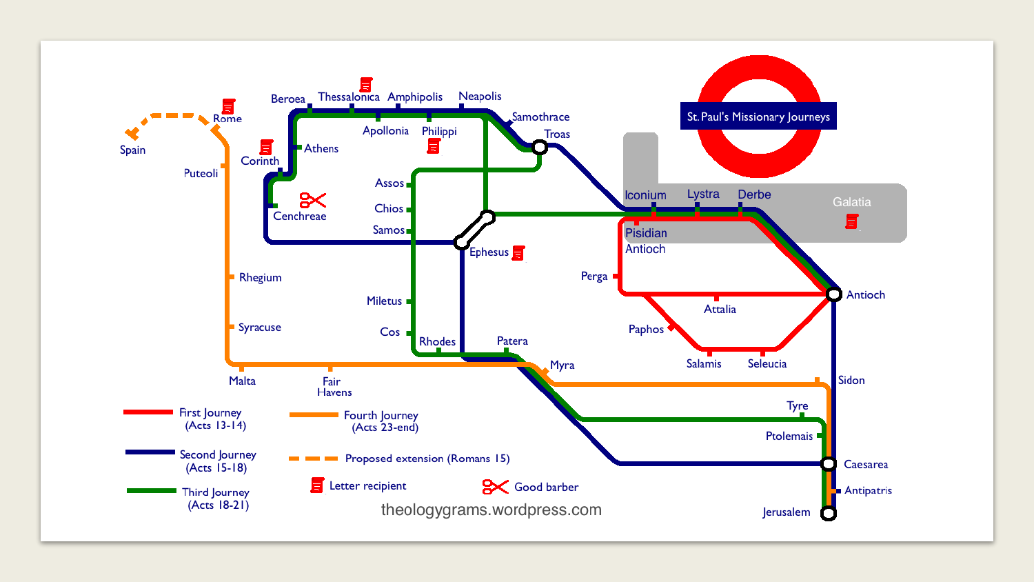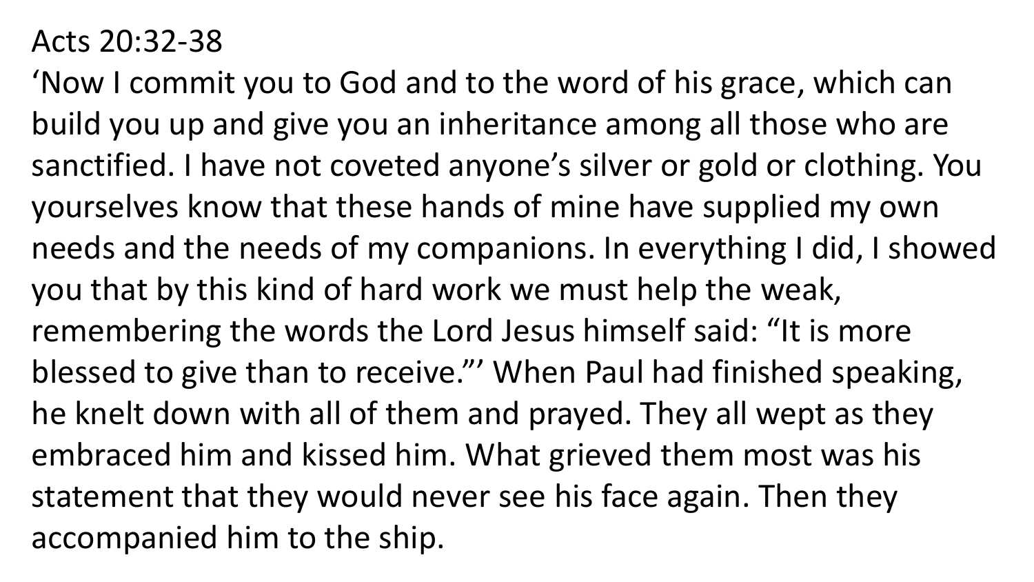## Acts 20:32-38

'Now I commit you to God and to the word of his grace, which can build you up and give you an inheritance among all those who are sanctified. I have not coveted anyone's silver or gold or clothing. You yourselves know that these hands of mine have supplied my own needs and the needs of my companions. In everything I did, I showed you that by this kind of hard work we must help the weak, remembering the words the Lord Jesus himself said: "It is more blessed to give than to receive."' When Paul had finished speaking, he knelt down with all of them and prayed. They all wept as they embraced him and kissed him. What grieved them most was his statement that they would never see his face again. Then they accompanied him to the ship.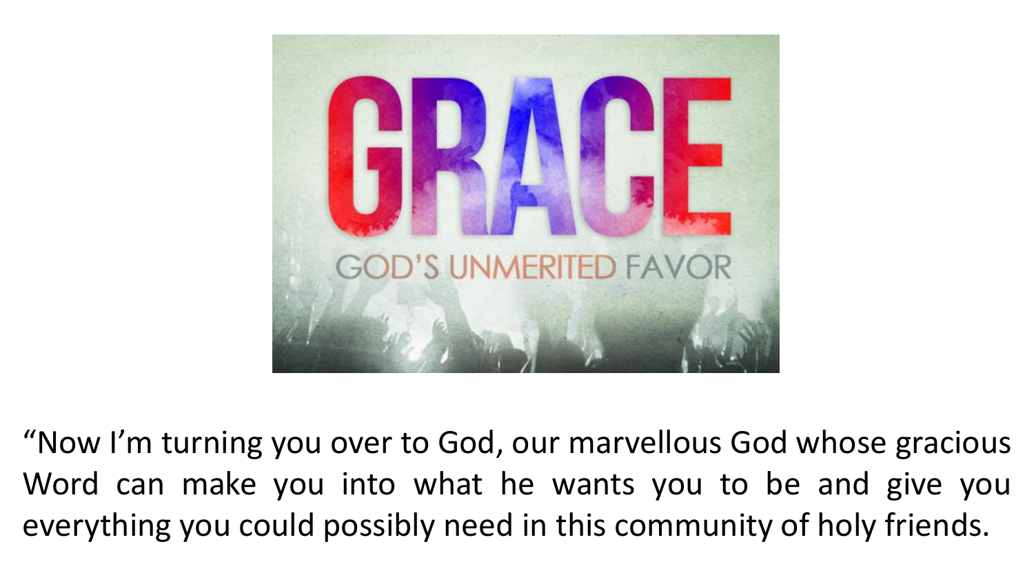

"Now I'm turning you over to God, our marvellous God whose gracious Word can make you into what he wants you to be and give you everything you could possibly need in this community of holy friends.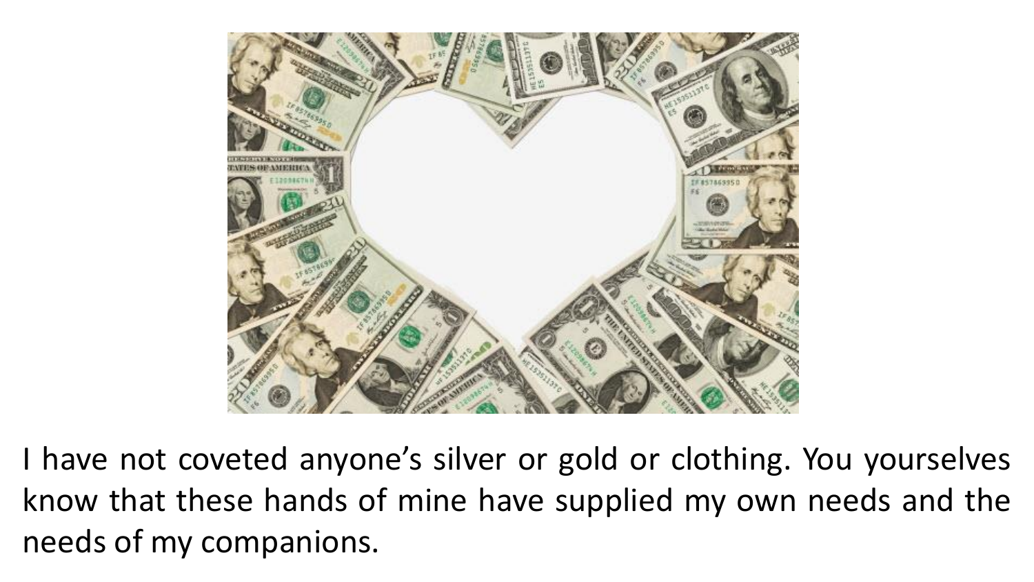

I have not coveted anyone's silver or gold or clothing. You yourselves know that these hands of mine have supplied my own needs and the needs of my companions.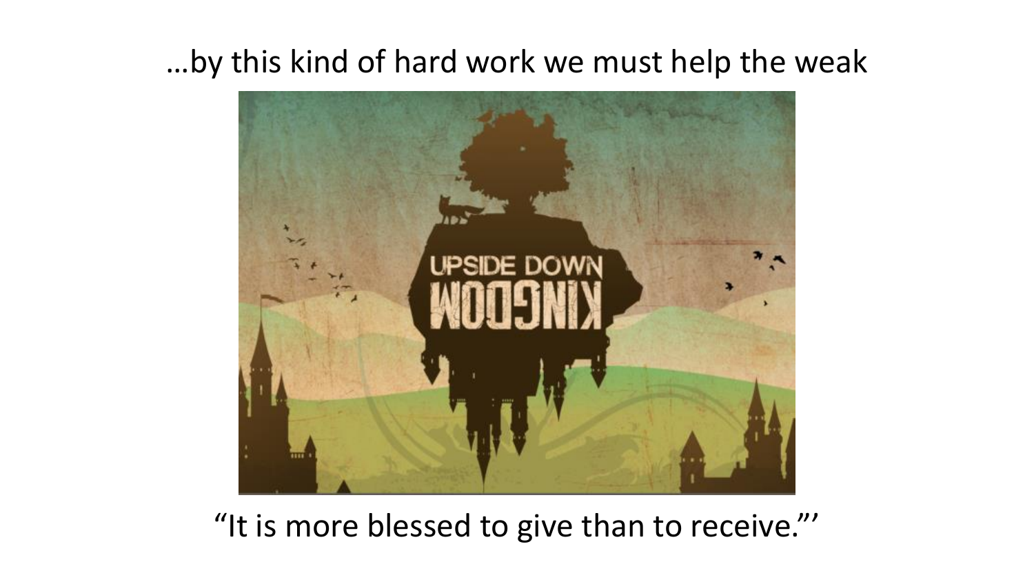## …by this kind of hard work we must help the weak



## "It is more blessed to give than to receive."'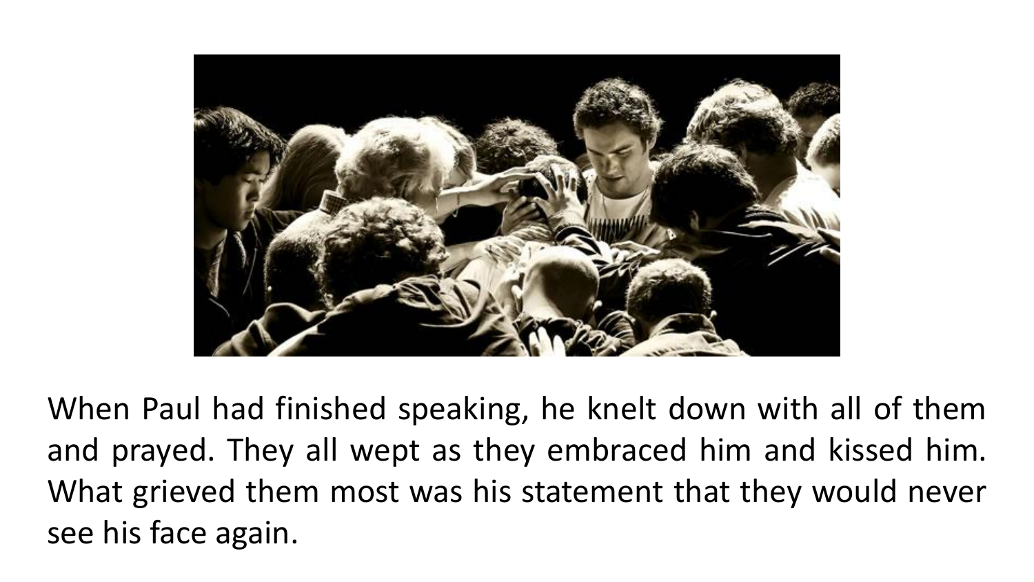

When Paul had finished speaking, he knelt down with all of them and prayed. They all wept as they embraced him and kissed him. What grieved them most was his statement that they would never see his face again.